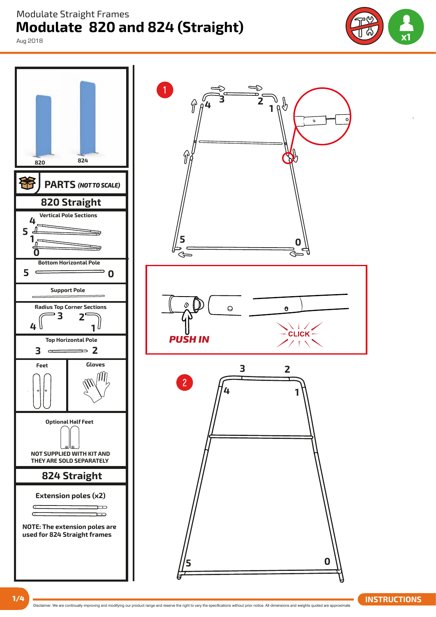## **Modulate 820 and 824 (Straight)**  Modulate Straight Frames

Aug 2018





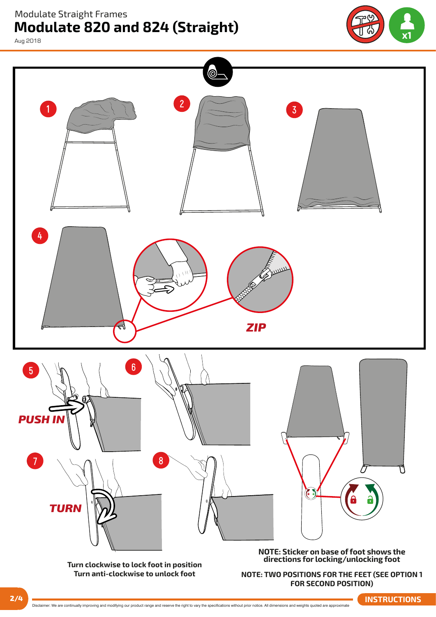Modulate Straight Frames

## **Modulate 820 and 824 (Straight)**

**x2**

Aug 2018



Disclaimer: We are continually improving and modifying our product range and reserve the right to vary the specifications without prior notice. All dimensions and weights quoted are approximate **2/4 INSTRUCTIONS**

**FOR SECOND POSITION)**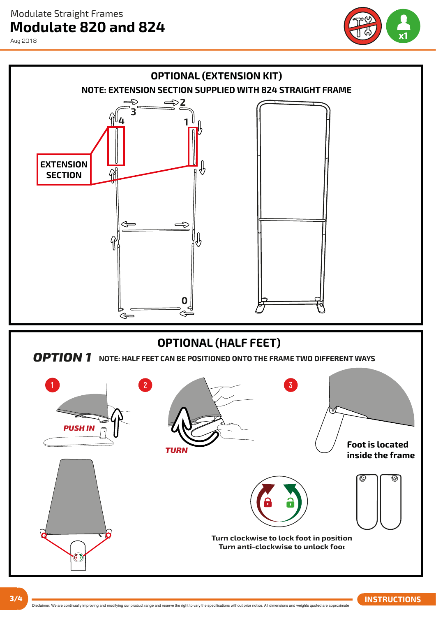